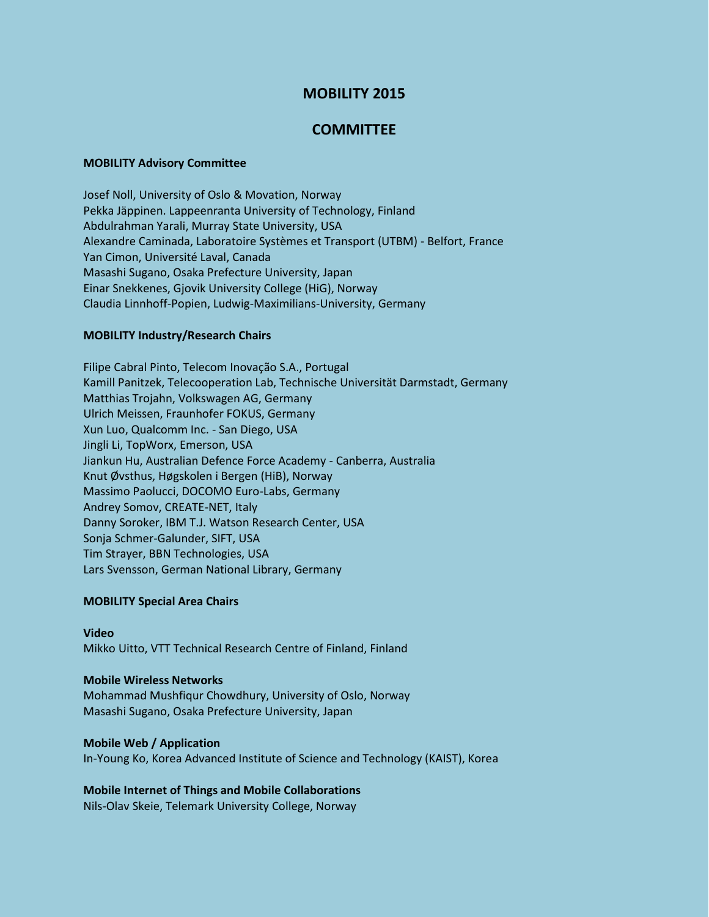# **MOBILITY 2015**

## **COMMITTEE**

### **MOBILITY Advisory Committee**

Josef Noll, University of Oslo & Movation, Norway Pekka Jäppinen. Lappeenranta University of Technology, Finland Abdulrahman Yarali, Murray State University, USA Alexandre Caminada, Laboratoire Systèmes et Transport (UTBM) - Belfort, France Yan Cimon, Université Laval, Canada Masashi Sugano, Osaka Prefecture University, Japan Einar Snekkenes, Gjovik University College (HiG), Norway Claudia Linnhoff-Popien, Ludwig-Maximilians-University, Germany

### **MOBILITY Industry/Research Chairs**

Filipe Cabral Pinto, Telecom Inovação S.A., Portugal Kamill Panitzek, Telecooperation Lab, Technische Universität Darmstadt, Germany Matthias Trojahn, Volkswagen AG, Germany Ulrich Meissen, Fraunhofer FOKUS, Germany Xun Luo, Qualcomm Inc. - San Diego, USA Jingli Li, TopWorx, Emerson, USA Jiankun Hu, Australian Defence Force Academy - Canberra, Australia Knut Øvsthus, Høgskolen i Bergen (HiB), Norway Massimo Paolucci, DOCOMO Euro-Labs, Germany Andrey Somov, CREATE-NET, Italy Danny Soroker, IBM T.J. Watson Research Center, USA Sonja Schmer-Galunder, SIFT, USA Tim Strayer, BBN Technologies, USA Lars Svensson, German National Library, Germany

### **MOBILITY Special Area Chairs**

## **Video** Mikko Uitto, VTT Technical Research Centre of Finland, Finland

### **Mobile Wireless Networks**

Mohammad Mushfiqur Chowdhury, University of Oslo, Norway Masashi Sugano, Osaka Prefecture University, Japan

### **Mobile Web / Application**

In-Young Ko, Korea Advanced Institute of Science and Technology (KAIST), Korea

### **Mobile Internet of Things and Mobile Collaborations**

Nils-Olav Skeie, Telemark University College, Norway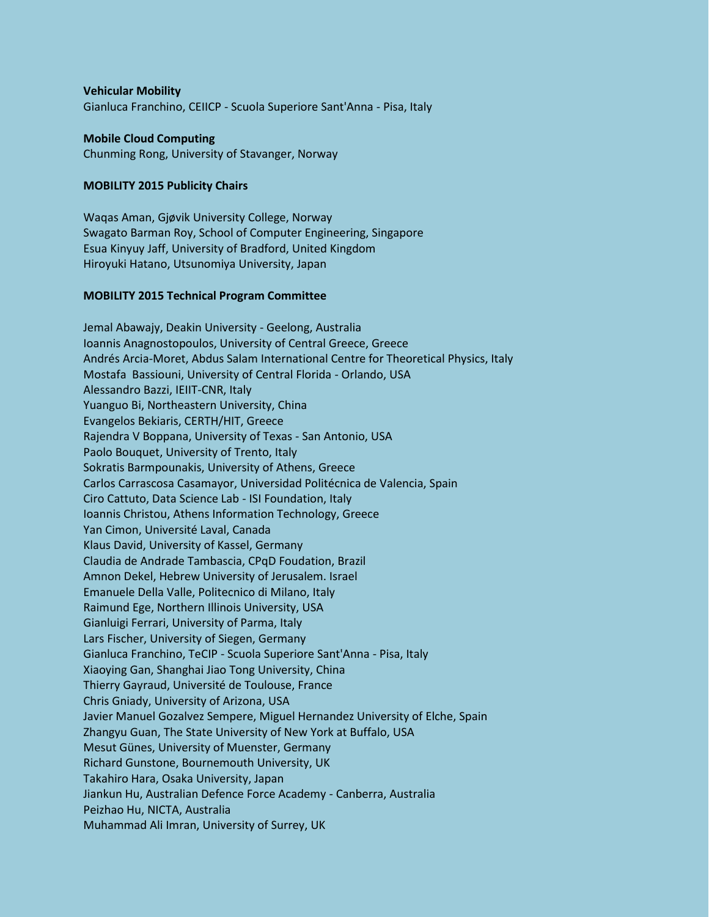### **Vehicular Mobility**

Gianluca Franchino, CEIICP - Scuola Superiore Sant'Anna - Pisa, Italy

### **Mobile Cloud Computing**

Chunming Rong, University of Stavanger, Norway

### **MOBILITY 2015 Publicity Chairs**

Waqas Aman, Gjøvik University College, Norway Swagato Barman Roy, School of Computer Engineering, Singapore Esua Kinyuy Jaff, University of Bradford, United Kingdom Hiroyuki Hatano, Utsunomiya University, Japan

### **MOBILITY 2015 Technical Program Committee**

Jemal Abawajy, Deakin University - Geelong, Australia Ioannis Anagnostopoulos, University of Central Greece, Greece Andrés Arcia-Moret, Abdus Salam International Centre for Theoretical Physics, Italy Mostafa Bassiouni, University of Central Florida - Orlando, USA Alessandro Bazzi, IEIIT-CNR, Italy Yuanguo Bi, Northeastern University, China Evangelos Bekiaris, CERTH/HIT, Greece Rajendra V Boppana, University of Texas - San Antonio, USA Paolo Bouquet, University of Trento, Italy Sokratis Barmpounakis, University of Athens, Greece Carlos Carrascosa Casamayor, Universidad Politécnica de Valencia, Spain Ciro Cattuto, Data Science Lab - ISI Foundation, Italy Ioannis Christou, Athens Information Technology, Greece Yan Cimon, Université Laval, Canada Klaus David, University of Kassel, Germany Claudia de Andrade Tambascia, CPqD Foudation, Brazil Amnon Dekel, Hebrew University of Jerusalem. Israel Emanuele Della Valle, Politecnico di Milano, Italy Raimund Ege, Northern Illinois University, USA Gianluigi Ferrari, University of Parma, Italy Lars Fischer, University of Siegen, Germany Gianluca Franchino, TeCIP - Scuola Superiore Sant'Anna - Pisa, Italy Xiaoying Gan, Shanghai Jiao Tong University, China Thierry Gayraud, Université de Toulouse, France Chris Gniady, University of Arizona, USA Javier Manuel Gozalvez Sempere, Miguel Hernandez University of Elche, Spain Zhangyu Guan, The State University of New York at Buffalo, USA Mesut Günes, University of Muenster, Germany Richard Gunstone, Bournemouth University, UK Takahiro Hara, Osaka University, Japan Jiankun Hu, Australian Defence Force Academy - Canberra, Australia Peizhao Hu, NICTA, Australia Muhammad Ali Imran, University of Surrey, UK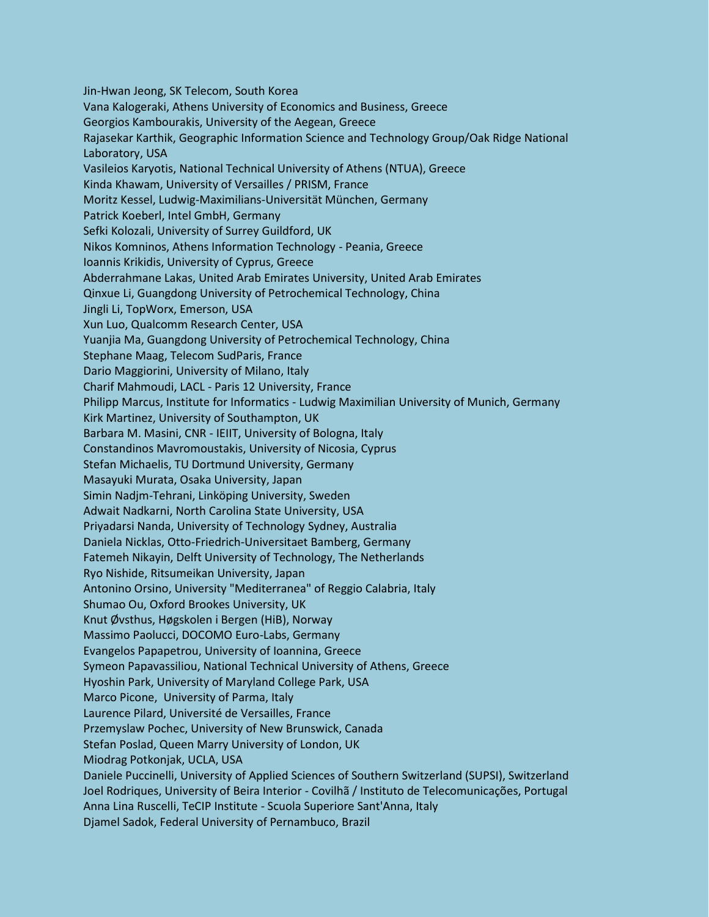Jin-Hwan Jeong, SK Telecom, South Korea Vana Kalogeraki, Athens University of Economics and Business, Greece Georgios Kambourakis, University of the Aegean, Greece Rajasekar Karthik, Geographic Information Science and Technology Group/Oak Ridge National Laboratory, USA Vasileios Karyotis, National Technical University of Athens (NTUA), Greece Kinda Khawam, University of Versailles / PRISM, France Moritz Kessel, Ludwig-Maximilians-Universität München, Germany Patrick Koeberl, Intel GmbH, Germany Sefki Kolozali, University of Surrey Guildford, UK Nikos Komninos, Athens Information Technology - Peania, Greece Ioannis Krikidis, University of Cyprus, Greece Abderrahmane Lakas, United Arab Emirates University, United Arab Emirates Qinxue Li, Guangdong University of Petrochemical Technology, China Jingli Li, TopWorx, Emerson, USA Xun Luo, Qualcomm Research Center, USA Yuanjia Ma, Guangdong University of Petrochemical Technology, China Stephane Maag, Telecom SudParis, France Dario Maggiorini, University of Milano, Italy Charif Mahmoudi, LACL - Paris 12 University, France Philipp Marcus, Institute for Informatics - Ludwig Maximilian University of Munich, Germany Kirk Martinez, University of Southampton, UK Barbara M. Masini, CNR - IEIIT, University of Bologna, Italy Constandinos Mavromoustakis, University of Nicosia, Cyprus Stefan Michaelis, TU Dortmund University, Germany Masayuki Murata, Osaka University, Japan Simin Nadjm-Tehrani, Linköping University, Sweden Adwait Nadkarni, North Carolina State University, USA Priyadarsi Nanda, University of Technology Sydney, Australia Daniela Nicklas, Otto-Friedrich-Universitaet Bamberg, Germany Fatemeh Nikayin, Delft University of Technology, The Netherlands Ryo Nishide, Ritsumeikan University, Japan Antonino Orsino, University "Mediterranea" of Reggio Calabria, Italy Shumao Ou, Oxford Brookes University, UK Knut Øvsthus, Høgskolen i Bergen (HiB), Norway Massimo Paolucci, DOCOMO Euro-Labs, Germany Evangelos Papapetrou, University of Ioannina, Greece Symeon Papavassiliou, National Technical University of Athens, Greece Hyoshin Park, University of Maryland College Park, USA Marco Picone, University of Parma, Italy Laurence Pilard, Université de Versailles, France Przemyslaw Pochec, University of New Brunswick, Canada Stefan Poslad, Queen Marry University of London, UK Miodrag Potkonjak, UCLA, USA Daniele Puccinelli, University of Applied Sciences of Southern Switzerland (SUPSI), Switzerland Joel Rodriques, University of Beira Interior - Covilhã / Instituto de Telecomunicações, Portugal Anna Lina Ruscelli, TeCIP Institute - Scuola Superiore Sant'Anna, Italy Djamel Sadok, Federal University of Pernambuco, Brazil